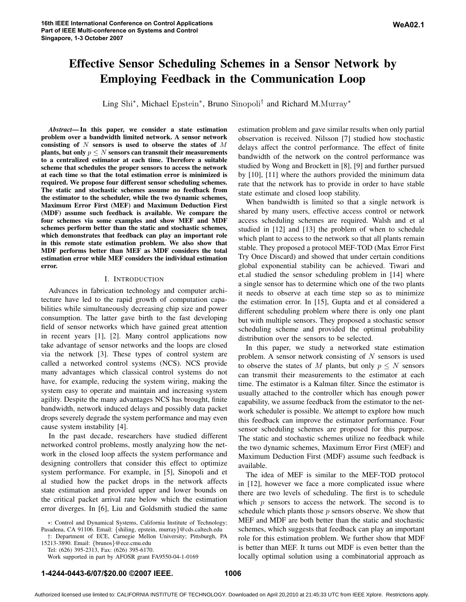# **Effective Sensor Scheduling Schemes in a Sensor Network by Employing Feedback in the Communication Loop**

Ling Shi<sup>\*</sup>, Michael Epstein<sup>\*</sup>, Bruno Sinopoli<sup>†</sup> and Richard M.Murray<sup>\*</sup>

*Abstract***—In this paper, we consider a state estimation problem over a bandwidth limited network. A sensor network consisting of** N **sensors is used to observe the states of** M **plants, but** only  $p \leq N$  sensors can transmit their measurements **to a centralized estimator at each time. Therefore a suitable scheme that schedules the proper sensors to access the network at each time so that the total estimation error is minimized is required. We propose four different sensor scheduling schemes. The static and stochastic schemes assume no feedback from the estimator to the scheduler, while the two dynamic schemes, Maximum Error First (MEF) and Maximum Deduction First (MDF) assume such feedback is available. We compare the four schemes via some examples and show MEF and MDF schemes perform better than the static and stochastic schemes, which demonstrates that feedback can play an important role in this remote state estimation problem. We also show that MDF performs better than MEF as MDF considers the total estimation error while MEF considers the individual estimation error.**

## I. INTRODUCTION

Advances in fabrication technology and computer architecture have led to the rapid growth of computation capabilities while simultaneously decreasing chip size and power consumption. The latter gave birth to the fast developing field of sensor networks which have gained great attention in recent years [1], [2]. Many control applications now take advantage of sensor networks and the loops are closed via the network [3]. These types of control system are called a networked control systems (NCS). NCS provide many advantages which classical control systems do not have, for example, reducing the system wiring, making the system easy to operate and maintain and increasing system agility. Despite the many advantages NCS has brought, finite bandwidth, network induced delays and possibly data packet drops severely degrade the system performance and may even cause system instability [4].

In the past decade, researchers have studied different networked control problems, mostly analyzing how the network in the closed loop affects the system performance and designing controllers that consider this effect to optimize system performance. For example, in [5], Sinopoli and et al studied how the packet drops in the network affects state estimation and provided upper and lower bounds on the critical packet arrival rate below which the estimation error diverges. In [6], Liu and Goldsmith studied the same estimation problem and gave similar results when only partial observation is received. Nilsson [7] studied how stochastic delays affect the control performance. The effect of finite bandwidth of the network on the control performance was studied by Wong and Brockett in [8], [9] and further pursued by [10], [11] where the authors provided the minimum data rate that the network has to provide in order to have stable state estimate and closed loop stability.

When bandwidth is limited so that a single network is shared by many users, effective access control or network access scheduling schemes are required. Walsh and et al studied in [12] and [13] the problem of when to schedule which plant to access to the network so that all plants remain stable. They proposed a protocol MEF-TOD (Max Error First Try Once Discard) and showed that under certain conditions global exponential stability can be achieved. Tiwari and et.al studied the sensor scheduling problem in [14] where a single sensor has to determine which one of the two plants it needs to observe at each time step so as to minimize the estimation error. In [15], Gupta and et al considered a different scheduling problem where there is only one plant but with multiple sensors. They proposed a stochastic sensor scheduling scheme and provided the optimal probability distribution over the sensors to be selected.

In this paper, we study a networked state estimation problem. A sensor network consisting of  $N$  sensors is used to observe the states of M plants, but only  $p \leq N$  sensors can transmit their measurements to the estimator at each time. The estimator is a Kalman filter. Since the estimator is usually attached to the controller which has enough power capability, we assume feedback from the estimator to the network scheduler is possible. We attempt to explore how much this feedback can improve the estimator performance. Four sensor scheduling schemes are proposed for this purpose. The static and stochastic schemes utilize no feedback while the two dynamic schemes, Maximum Error First (MEF) and Maximum Deduction First (MDF) assume such feedback is available.

The idea of MEF is similar to the MEF-TOD protocol in [12], however we face a more complicated issue where there are two levels of scheduling. The first is to schedule which  $p$  sensors to access the network. The second is to schedule which plants those p sensors observe. We show that MEF and MDF are both better than the static and stochastic schemes, which suggests that feedback can play an important role for this estimation problem. We further show that MDF is better than MEF. It turns out MDF is even better than the locally optimal solution using a combinatorial approach as

<sup>∗</sup>: Control and Dynamical Systems, California Institute of Technology; Pasadena, CA 91106. Email: {shiling, epstein, murray}@cds.caltech.edu

<sup>†</sup>: Department of ECE, Carnegie Mellon University; Pittsburgh, PA 15213-3890. Email: {brunos}@ece.cmu.edu

Tel: (626) 395-2313, Fax: (626) 395-6170.

Work supported in part by AFOSR grant FA9550-04-1-0169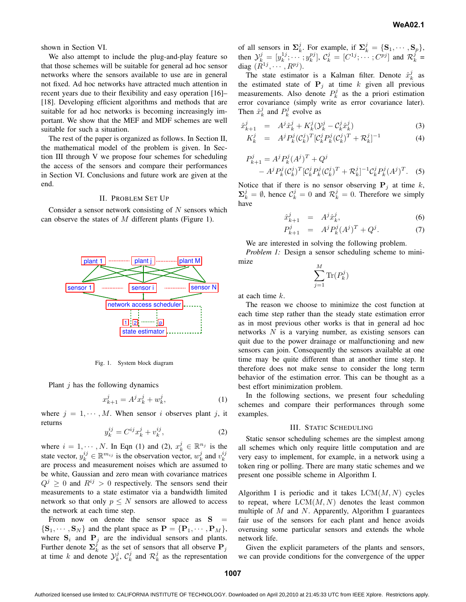shown in Section VI.

We also attempt to include the plug-and-play feature so that those schemes will be suitable for general ad hoc sensor networks where the sensors available to use are in general not fixed. Ad hoc networks have attracted much attention in recent years due to their flexibility and easy operation [16]– [18]. Developing efficient algorithms and methods that are suitable for ad hoc networks is becoming increasingly important. We show that the MEF and MDF schemes are well suitable for such a situation.

The rest of the paper is organized as follows. In Section II, the mathematical model of the problem is given. In Section III through V we propose four schemes for scheduling the access of the sensors and compare their performances in Section VI. Conclusions and future work are given at the end.

## II. PROBLEM SET UP

Consider a sensor network consisting of  $N$  sensors which can observe the states of  $M$  different plants (Figure 1).



Fig. 1. System block diagram

Plant  $j$  has the following dynamics

$$
x_{k+1}^j = A^j x_k^j + w_k^j,
$$
 (1)

where  $j = 1, \dots, M$ . When sensor i observes plant j, it returns

$$
y_k^{ij} = C^{ij} x_k^j + v_k^{ij},\tag{2}
$$

where  $i = 1, \dots, N$ . In Eqn (1) and (2),  $x_k^j \in \mathbb{R}^{n_j}$  is the state vector,  $y_k^{ij} \in \mathbb{R}^{m_{ij}}$  is the observation vector,  $w_k^j$  and  $v_k^{ij}$ are process and measurement noises which are assumed to be white, Gaussian and zero mean with covariance matrices  $Q^{j} \geq 0$  and  $R^{ij} > 0$  respectively. The sensors send their measurements to a state estimator via a bandwidth limited network so that only  $p \leq N$  sensors are allowed to access the network at each time step.

From now on denote the sensor space as  $S =$  $\{S_1, \dots, S_N\}$  and the plant space as  $P = \{P_1, \dots, P_M\},\$ where  $S_i$  and  $P_j$  are the individual sensors and plants. Further denote  $\sum_k^j$  as the set of sensors that all observe  $P_j$ at time k and denote  $\mathcal{Y}_k^j$ ,  $\mathcal{C}_k^j$  and  $\mathcal{R}_k^j$  as the representation

of all sensors in  $\Sigma_k^j$ . For example, if  $\Sigma_k^j = \{S_1, \dots, S_p\}$ , then  $\mathcal{Y}_{k}^{j} = [y_{k}^{1j}; \cdots; y_{k}^{pj}], \mathcal{C}_{k}^{j} = [C^{1j}; \cdots; C^{pj}]$  and  $\mathcal{R}_{k}^{j} =$ diag  $(\tilde{R}^{1j}, \cdots, R^{pj}).$ 

The state estimator is a Kalman filter. Denote  $\hat{x}_k^j$  as the estimated state of  $P_j$  at time k given all previous measurements. Also denote  $P_k^j$  as the a priori estimation error covariance (simply write as error covariance later). Then  $\hat{x}_k^j$  and  $P_k^j$  evolve as

$$
\hat{x}_{k+1}^j = A^j \hat{x}_k^j + K_k^j (\mathcal{Y}_k^j - \mathcal{C}_k^j \hat{x}_k^j) \tag{3}
$$

$$
K_k^j = A^j P_k^j (C_k^j)^T [C_k^j P_k^j (C_k^j)^T + \mathcal{R}_k^j]^{-1}
$$
(4)

$$
P_{k+1}^{j} = A^{j} P_{k}^{j} (A^{j})^{T} + Q^{j}
$$
  
- A^{j} P\_{k}^{j} (C\_{k}^{j})^{T} [C\_{k}^{j} P\_{k}^{j} (C\_{k}^{j})^{T} + R\_{k}^{j}]^{-1} C\_{k}^{j} P\_{k}^{j} (A^{j})^{T}. (5)

Notice that if there is no sensor observing  $P_j$  at time k,  $\Sigma_k^j = \emptyset$ , hence  $C_k^j = 0$  and  $\mathcal{R}_k^j = 0$ . Therefore we simply have

$$
\hat{x}_{k+1}^j = A^j \hat{x}_k^j,\tag{6}
$$

$$
P_{k+1}^j = A^j P_k^j (A^j)^T + Q^j. \tag{7}
$$

We are interested in solving the following problem.

*Problem 1:* Design a sensor scheduling scheme to minimize

$$
\sum_{j=1}^{M} \text{Tr}(P_k^j)
$$

at each time k.

 $\overline{F}$ 

The reason we choose to minimize the cost function at each time step rather than the steady state estimation error as in most previous other works is that in general ad hoc networks N is a varying number, as existing sensors can quit due to the power drainage or malfunctioning and new sensors can join. Consequently the sensors available at one time may be quite different than at another time step. It therefore does not make sense to consider the long term behavior of the estimation error. This can be thought as a best effort minimization problem.

In the following sections, we present four scheduling schemes and compare their performances through some examples.

#### III. STATIC SCHEDULING

Static sensor scheduling schemes are the simplest among all schemes which only require little computation and are very easy to implement, for example, in a network using a token ring or polling. There are many static schemes and we present one possible scheme in Algorithm I.

Algorithm I is periodic and it takes  $LCM(M, N)$  cycles to repeat, where  $LCM(M, N)$  denotes the least common multiple of  $M$  and  $N$ . Apparently, Algorithm I guarantees fair use of the sensors for each plant and hence avoids overusing some particular sensors and extends the whole network life.

Given the explicit parameters of the plants and sensors, we can provide conditions for the convergence of the upper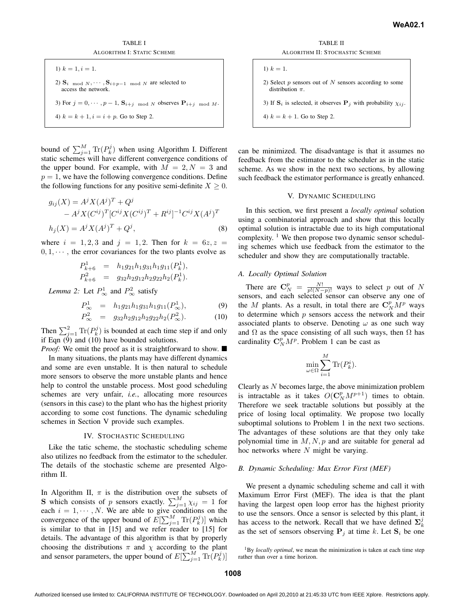TABLE I ALGORITHM I: STATIC SCHEME

\n- 1) 
$$
k = 1, i = 1.
$$
\n- 2)  $\mathbf{S}_{i \mod N}, \cdots, \mathbf{S}_{i+p-1} \mod N$  are selected to access the network.
\n- 3) For  $j = 0, \cdots, p-1$ ,  $\mathbf{S}_{i+j} \mod N$  observes  $\mathbf{P}_{i+j} \mod M$ .
\n- 4)  $k = k + 1, i = i + p$ . Go to Step 2.
\n

bound of  $\sum_{j=1}^{M} \text{Tr}(P_k^j)$  when using Algorithm I. Different static schemes will have different convergence conditions of the upper bound. For example, with  $M = 2, N = 3$  and  $p = 1$ , we have the following convergence conditions. Define the following functions for any positive semi-definite  $X \geq 0$ .

$$
g_{ij}(X) = A^{j} X (A^{j})^{T} + Q^{j}
$$
  
- A^{j} X (C^{ij})^{T} [C^{ij} X (C^{ij})^{T} + R^{ij}]^{-1} C^{ij} X (A^{j})^{T}  
h\_{j}(X) = A^{j} X (A^{j})^{T} + Q^{j}, (8)

where  $i = 1, 2, 3$  and  $j = 1, 2$ . Then for  $k = 6z, z =$  $0, 1, \dots$ , the error covariances for the two plants evolve as

$$
P_{k+6}^1 = h_1 g_{21} h_1 g_{31} h_1 g_{11}(P_k^1),
$$
  
\n
$$
P_{k+6}^2 = g_{32} h_2 g_{12} h_2 g_{22} h_2(P_k^1).
$$

*Lemma 2:* Let  $P^1_{\infty}$  and  $P^2_{\infty}$  satisfy

$$
P_{\infty}^{1} = h_1 g_{21} h_1 g_{31} h_1 g_{11}(P_{\infty}^{1}), \qquad (9)
$$

$$
P_{\infty}^2 = g_{32}h_2g_{12}h_2g_{22}h_2(P_{\infty}^2). \tag{10}
$$

Then  $\sum_{j=1}^{2} \text{Tr}(P_k^j)$  is bounded at each time step if and only if Eqn  $(\dot{9})$  and  $(10)$  have bounded solutions.

*Proof:* We omit the proof as it is straightforward to show.  $\blacksquare$ In many situations, the plants may have different dynamics and some are even unstable. It is then natural to schedule more sensors to observe the more unstable plants and hence help to control the unstable process. Most good scheduling schemes are very unfair, *i.e.*, allocating more resources (sensors in this case) to the plant who has the highest priority according to some cost functions. The dynamic scheduling schemes in Section V provide such examples.

## IV. STOCHASTIC SCHEDULING

Like the tatic scheme, the stochastic scheduling scheme also utilizes no feedback from the estimator to the scheduler. The details of the stochastic scheme are presented Algorithm II.

In Algorithm II,  $\pi$  is the distribution over the subsets of **S** which consists of p sensors exactly.  $\sum_{j=1}^{M} \chi_{ij} = 1$  for each  $i = 1, \dots, N$ . We are able to give conditions on the convergence of the upper bound of  $E[\sum_{j=1}^{M} \text{Tr}(P_k^j)]$  which is similar to that in [15] and we refer reader to [15] for details. The advantage of this algorithm is that by properly choosing the distributions  $\pi$  and  $\chi$  according to the plant and sensor parameters, the upper bound of  $E[\sum_{j=1}^{M} \text{Tr}(P_{k}^{j})]$ 

TABLE II ALGORITHM II: STOCHASTIC SCHEME

\n- 1) 
$$
k = 1
$$
.
\n- 2) Select *p* sensors out of *N* sensors according to some distribution  $\pi$ .
\n- 3) If  $S_i$  is selected, it observes  $P_j$  with probability  $\chi_{ij}$ .
\n- 4)  $k = k + 1$ . Go to Step 2.
\n

can be minimized. The disadvantage is that it assumes no feedback from the estimator to the scheduler as in the static scheme. As we show in the next two sections, by allowing such feedback the estimator performance is greatly enhanced.

## V. DYNAMIC SCHEDULING

In this section, we first present a *locally optimal* solution using a combinatorial approach and show that this locally optimal solution is intractable due to its high computational complexity. <sup>1</sup> We then propose two dynamic sensor scheduling schemes which use feedback from the estimator to the scheduler and show they are computationally tractable.

#### *A. Locally Optimal Solution*

There are  $\mathbf{C}_N^p = \frac{N!}{p!(N-p)!}$  ways to select p out of N sensors, and each selected sensor can observe any one of the M plants. As a result, in total there are  $\mathbb{C}_N^p M^p$  ways to determine which  $p$  sensors access the network and their associated plants to observe. Denoting  $\omega$  as one such way and  $\Omega$  as the space consisting of all such ways, then  $\Omega$  has cardinality  $C_N^p M^p$ . Problem 1 can be cast as

$$
\min_{\omega \in \Omega} \sum_{i=1}^{M} \text{Tr}(P_k^i).
$$

Clearly as N becomes large, the above minimization problem is intractable as it takes  $O(\mathbf{C}_N^p M^{p+1})$  times to obtain. Therefore we seek tractable solutions but possibly at the price of losing local optimality. We propose two locally suboptimal solutions to Problem 1 in the next two sections. The advantages of these solutions are that they only take polynomial time in  $M, N, p$  and are suitable for general ad hoc networks where  $N$  might be varying.

# *B. Dynamic Scheduling: Max Error First (MEF)*

We present a dynamic scheduling scheme and call it with Maximum Error First (MEF). The idea is that the plant having the largest open loop error has the highest priority to use the sensors. Once a sensor is selected by this plant, it has access to the network. Recall that we have defined  $\Sigma_k^j$ as the set of sensors observing  $P_i$  at time k. Let  $S_i$  be one

<sup>1</sup>By *locally optimal*, we mean the minimization is taken at each time step rather than over a time horizon.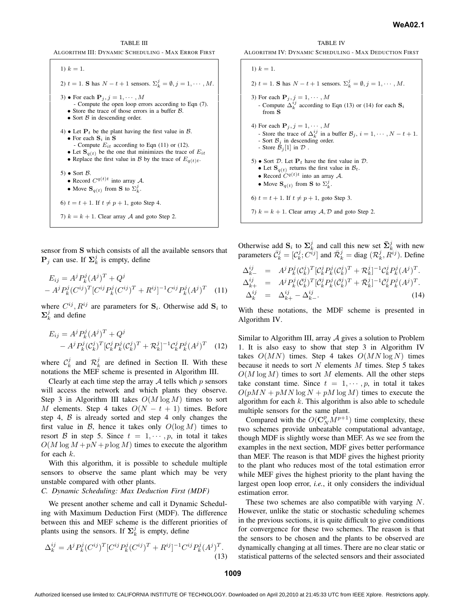TABLE III





sensor from S which consists of all the available sensors that  $\mathbf{P}_j$  can use. If  $\Sigma_k^j$  is empty, define

$$
E_{ij} = A^{j} P_{k}^{j} (A^{j})^{T} + Q^{j}
$$
  
- 
$$
A^{j} P_{k}^{j} (C^{ij})^{T} [C^{ij} P_{k}^{j} (C^{ij})^{T} + R^{ij}]^{-1} C^{ij} P_{k}^{j} (A^{j})^{T}
$$
 (11)

where  $C^{ij}$ ,  $R^{ij}$  are parameters for  $S_i$ . Otherwise add  $S_i$  to  $\Sigma_k^j$  and define

$$
E_{ij} = A^{j} P_{k}^{j} (A^{j})^{T} + Q^{j}
$$
  
-  $A^{j} P_{k}^{j} (C_{k}^{j})^{T} [C_{k}^{j} P_{k}^{j} (C_{k}^{j})^{T} + R_{k}^{j}]^{-1} C_{k}^{j} P_{k}^{j} (A^{j})^{T}$  (12)

where  $\mathcal{C}_k^j$  and  $\mathcal{R}_k^j$  are defined in Section II. With these notations the MEF scheme is presented in Algorithm III.

Clearly at each time step the array  $A$  tells which  $p$  sensors will access the network and which plants they observe. Step 3 in Algorithm III takes  $O(M \log M)$  times to sort M elements. Step 4 takes  $O(N - t + 1)$  times. Before step 4,  $\beta$  is already sorted and step 4 only changes the first value in B, hence it takes only  $O(\log M)$  times to resort B in step 5. Since  $t = 1, \dots, p$ , in total it takes  $O(M \log M + pN + p \log M)$  times to execute the algorithm for each k.

With this algorithm, it is possible to schedule multiple sensors to observe the same plant which may be very unstable compared with other plants.

# *C. Dynamic Scheduling: Max Deduction First (MDF)*

We present another scheme and call it Dynamic Scheduling with Maximum Deduction First (MDF). The difference between this and MEF scheme is the different priorities of plants using the sensors. If  $\Sigma_k^j$  is empty, define

$$
\Delta_k^{ij} = A^j P_k^j (C^{ij})^T [C^{ij} P_k^j (C^{ij})^T + R^{ij}]^{-1} C^{ij} P_k^j (A^j)^T.
$$
\n(13)

TABLE IV ALGORITHM IV: DYNAMIC SCHEDULING - MAX DEDUCTION FIRST

| 1) $k = 1$ .                                                                                                                                                                                                                            |
|-----------------------------------------------------------------------------------------------------------------------------------------------------------------------------------------------------------------------------------------|
| 2) $t = 1$ . S has $N - t + 1$ sensors. $\Sigma_k^j = \emptyset, j = 1, \dots, M$ .                                                                                                                                                     |
| 3) For each $P_j$ , $j = 1, \dots, M$<br>- Compute $\Delta_k^{ij}$ according to Eqn (13) or (14) for each $S_i$<br>from $S$                                                                                                             |
| 4) For each $\mathbf{P}_i$ , $j = 1, \cdots, M$<br>- Store the trace of $\Delta_k^{ij}$ in a buffer $\mathcal{B}_j$ , $i = 1, \dots, N - t + 1$ .<br>- Sort $B_i$ in descending order.<br>- Store $\mathcal{B}_i[1]$ in $\mathcal{D}$ . |
| 5) • Sort D. Let $P_t$ have the first value in D.<br>• Let $S_{q(t)}$ returns the first value in $B_t$ .<br>• Record $C^{q(t)t}$ into an array A.<br>• Move $\mathbf{S}_{q(t)}$ from <b>S</b> to $\Sigma_k^j$ .                         |
| 6) $t = t + 1$ . If $t \neq p + 1$ , goto Step 3.                                                                                                                                                                                       |
| 7) $k = k + 1$ . Clear array A, D and goto Step 2.                                                                                                                                                                                      |

Otherwise add  $S_i$  to  $\Sigma_k^j$  and call this new set  $\overline{\Sigma}_k^j$  with new parameters  $\bar{C}_k^j = [C_k^j; C^{ij}]$  and  $\bar{\mathcal{R}}_k^j =$  diag  $(\mathcal{R}_k^j, \bar{R}^{ij})$ . Define

$$
\Delta_{k-}^{ij} = A^j P_k^j (C_k^j)^T [C_k^j P_k^j (C_k^j)^T + \mathcal{R}_k^j]^{-1} C_k^j P_k^j (A^j)^T.
$$
  
\n
$$
\Delta_{k+}^{ij} = A^j P_k^j (\bar{C}_k^j)^T [\bar{C}_k^j P_k^j (\bar{C}_k^j)^T + \bar{\mathcal{R}}_k^j]^{-1} \bar{C}_k^j P_k^j (A^j)^T.
$$
  
\n
$$
\Delta_k^{ij} = \Delta_{k+}^{ij} - \Delta_{k-}^{ij}.
$$
\n(14)

With these notations, the MDF scheme is presented in Algorithm IV.

Similar to Algorithm III, array  $A$  gives a solution to Problem 1. It is also easy to show that step 3 in Algorithm IV takes  $O(MN)$  times. Step 4 takes  $O(MN \log N)$  times because it needs to sort  $N$  elements  $M$  times. Step 5 takes  $O(M \log M)$  times to sort M elements. All the other steps take constant time. Since  $t = 1, \dots, p$ , in total it takes  $O(pMN + pMN \log N + pM \log M)$  times to execute the algorithm for each  $k$ . This algorithm is also able to schedule multiple sensors for the same plant.

Compared with the  $O(\mathbf{C}_N^p M^{p+1})$  time complexity, these two schemes provide unbeatable computational advantage, though MDF is slightly worse than MEF. As we see from the examples in the next section, MDF gives better performance than MEF. The reason is that MDF gives the highest priority to the plant who reduces most of the total estimation error while MEF gives the highest priority to the plant having the largest open loop error, *i.e.*, it only considers the individual estimation error.

These two schemes are also compatible with varying N. However, unlike the static or stochastic scheduling schemes in the previous sections, it is quite difficult to give conditions for convergence for these two schemes. The reason is that the sensors to be chosen and the plants to be observed are dynamically changing at all times. There are no clear static or statistical patterns of the selected sensors and their associated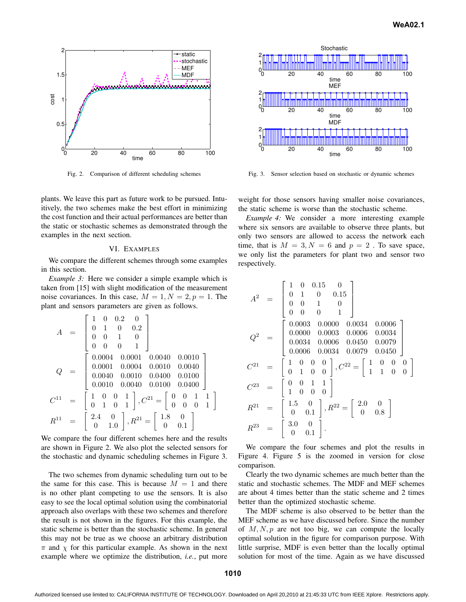

Fig. 2. Comparison of different scheduling schemes

plants. We leave this part as future work to be pursued. Intuitively, the two schemes make the best effort in minimizing the cost function and their actual performances are better than the static or stochastic schemes as demonstrated through the examples in the next section.

#### VI. EXAMPLES

We compare the different schemes through some examples in this section.

*Example 3:* Here we consider a simple example which is taken from [15] with slight modification of the measurement noise covariances. In this case,  $M = 1, N = 2, p = 1$ . The plant and sensors parameters are given as follows.

$$
A = \begin{bmatrix} 1 & 0 & 0.2 & 0 \\ 0 & 1 & 0 & 0.2 \\ 0 & 0 & 1 & 0 \\ 0 & 0 & 0 & 1 \end{bmatrix}
$$
  
\n
$$
Q = \begin{bmatrix} 0.0004 & 0.0001 & 0.0040 & 0.0010 \\ 0.0001 & 0.0004 & 0.0010 & 0.0040 \\ 0.0040 & 0.0010 & 0.0400 & 0.0100 \\ 0.0010 & 0.0040 & 0.0100 & 0.0400 \end{bmatrix}
$$
  
\n
$$
C^{11} = \begin{bmatrix} 1 & 0 & 0 & 1 \\ 0 & 1 & 0 & 1 \\ 0 & 1 & 0 & 1 \end{bmatrix}, C^{21} = \begin{bmatrix} 0 & 0 & 1 & 1 \\ 0 & 0 & 0 & 1 \\ 0 & 0 & 0 & 1 \end{bmatrix}
$$
  
\n
$$
R^{11} = \begin{bmatrix} 2.4 & 0 \\ 0 & 1.0 \end{bmatrix}, R^{21} = \begin{bmatrix} 1.8 & 0 \\ 0 & 0.1 \end{bmatrix}
$$

We compare the four different schemes here and the results are shown in Figure 2. We also plot the selected sensors for the stochastic and dynamic scheduling schemes in Figure 3.

The two schemes from dynamic scheduling turn out to be the same for this case. This is because  $M = 1$  and there is no other plant competing to use the sensors. It is also easy to see the local optimal solution using the combinatorial approach also overlaps with these two schemes and therefore the result is not shown in the figures. For this example, the static scheme is better than the stochastic scheme. In general this may not be true as we choose an arbitrary distribution  $\pi$  and  $\chi$  for this particular example. As shown in the next example where we optimize the distribution, *i.e.*, put more



Fig. 3. Sensor selection based on stochastic or dynamic schemes

weight for those sensors having smaller noise covariances, the static scheme is worse than the stochastic scheme.

*Example 4:* We consider a more interesting example where six sensors are available to observe three plants, but only two sensors are allowed to access the network each time, that is  $M = 3, N = 6$  and  $p = 2$ . To save space, we only list the parameters for plant two and sensor two respectively.

$$
A^{2} = \begin{bmatrix} 1 & 0 & 0.15 & 0 \\ 0 & 1 & 0 & 0.15 \\ 0 & 0 & 1 & 0 \\ 0 & 0 & 0 & 1 \end{bmatrix}
$$
  
\n
$$
Q^{2} = \begin{bmatrix} 0.0003 & 0.0000 & 0.0034 & 0.0006 \\ 0.0000 & 0.0003 & 0.0006 & 0.0034 \\ 0.0034 & 0.0006 & 0.0450 & 0.0079 \\ 0.0006 & 0.0034 & 0.0079 & 0.0450 \end{bmatrix}
$$
  
\n
$$
C^{21} = \begin{bmatrix} 1 & 0 & 0 & 0 \\ 0 & 1 & 0 & 0 \\ 1 & 0 & 0 & 0 \end{bmatrix}, C^{22} = \begin{bmatrix} 1 & 0 & 0 & 0 \\ 1 & 1 & 0 & 0 \\ 1 & 1 & 0 & 0 \end{bmatrix}
$$
  
\n
$$
C^{23} = \begin{bmatrix} 0 & 0 & 1 & 1 \\ 0 & 0 & 1 & 1 \\ 0 & 0 & 0 & 1 \end{bmatrix}, R^{22} = \begin{bmatrix} 2.0 & 0 \\ 0 & 0.8 \end{bmatrix}
$$
  
\n
$$
R^{23} = \begin{bmatrix} 3.0 & 0 \\ 0 & 0.1 \end{bmatrix}.
$$

We compare the four schemes and plot the results in Figure 4. Figure 5 is the zoomed in version for close comparison.

Clearly the two dynamic schemes are much better than the static and stochastic schemes. The MDF and MEF schemes are about 4 times better than the static scheme and 2 times better than the optimized stochastic scheme.

The MDF scheme is also observed to be better than the MEF scheme as we have discussed before. Since the number of  $M, N, p$  are not too big, we can compute the locally optimal solution in the figure for comparison purpose. With little surprise, MDF is even better than the locally optimal solution for most of the time. Again as we have discussed